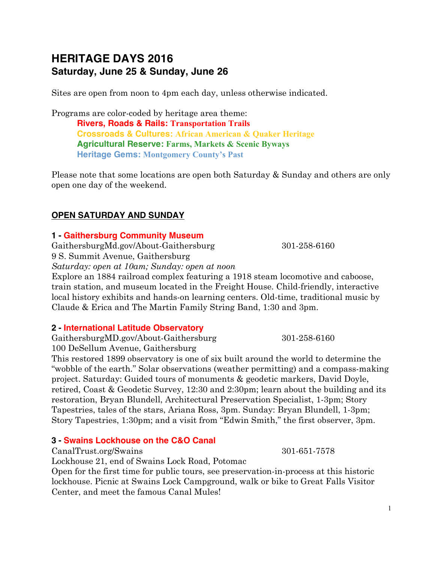# **HERITAGE DAYS 2016 Saturday, June 25 & Sunday, June 26**

Sites are open from noon to 4pm each day, unless otherwise indicated.

Programs are color-coded by heritage area theme: **Rivers, Roads & Rails: Transportation Trails Crossroads & Cultures: African American & Quaker Heritage Agricultural Reserve: Farms, Markets & Scenic Byways Heritage Gems: Montgomery County's Past**

Please note that some locations are open both Saturday & Sunday and others are only open one day of the weekend.

## **OPEN SATURDAY AND SUNDAY**

#### **1 - Gaithersburg Community Museum**

GaithersburgMd.gov/About-Gaithersburg 301-258-6160 9 S. Summit Avenue, Gaithersburg *Saturday: open at 10am; Sunday: open at noon*

Explore an 1884 railroad complex featuring a 1918 steam locomotive and caboose, train station, and museum located in the Freight House. Child-friendly, interactive local history exhibits and hands-on learning centers. Old-time, traditional music by Claude & Erica and The Martin Family String Band, 1:30 and 3pm.

#### **2 - International Latitude Observatory**

GaithersburgMD.gov/About-Gaithersburg 301-258-6160 100 DeSellum Avenue, Gaithersburg

This restored 1899 observatory is one of six built around the world to determine the "wobble of the earth." Solar observations (weather permitting) and a compass-making project. Saturday: Guided tours of monuments & geodetic markers, David Doyle, retired, Coast & Geodetic Survey, 12:30 and 2:30pm; learn about the building and its restoration, Bryan Blundell, Architectural Preservation Specialist, 1-3pm; Story Tapestries, tales of the stars, Ariana Ross, 3pm. Sunday: Bryan Blundell, 1-3pm; Story Tapestries, 1:30pm; and a visit from "Edwin Smith," the first observer, 3pm.

## **3 - Swains Lockhouse on the C&O Canal**

CanalTrust.org/Swains 301-651-7578

Lockhouse 21, end of Swains Lock Road, Potomac

Open for the first time for public tours, see preservation-in-process at this historic lockhouse. Picnic at Swains Lock Campground, walk or bike to Great Falls Visitor Center, and meet the famous Canal Mules!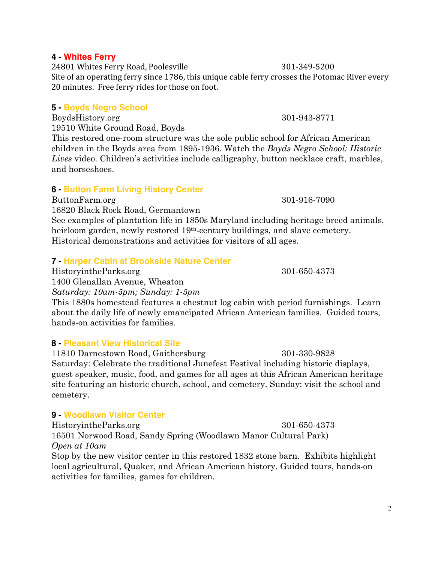#### **4 - Whites Ferry**

24801 Whites Ferry Road, Poolesville 301-349-5200 Site of an operating ferry since 1786, this unique cable ferry crosses the Potomac River every 20 minutes. Free ferry rides for those on foot.

## **5 - Boyds Negro School**

BoydsHistory.org 301-943-8771 19510 White Ground Road, Boyds

This restored one-room structure was the sole public school for African American children in the Boyds area from 1895-1936. Watch the *Boyds Negro School: Historic Lives* video. Children's activities include calligraphy, button necklace craft, marbles, and horseshoes.

## **6 - Button Farm Living History Center**

ButtonFarm.org 301-916-7090

16820 Black Rock Road, Germantown See examples of plantation life in 1850s Maryland including heritage breed animals, heirloom garden, newly restored 19<sup>th</sup>-century buildings, and slave cemetery. Historical demonstrations and activities for visitors of all ages.

## **7 - Harper Cabin at Brookside Nature Center**

HistoryintheParks.org 301-650-4373

1400 Glenallan Avenue, Wheaton

*Saturday: 10am-5pm; Sunday: 1-5pm*

This 1880s homestead features a chestnut log cabin with period furnishings. Learn about the daily life of newly emancipated African American families. Guided tours, hands-on activities for families.

## **8 - Pleasant View Historical Site**

11810 Darnestown Road, Gaithersburg 301-330-9828 Saturday: Celebrate the traditional Junefest Festival including historic displays, guest speaker, music, food, and games for all ages at this African American heritage site featuring an historic church, school, and cemetery. Sunday: visit the school and cemetery.

## **9 - Woodlawn Visitor Center**

HistoryintheParks.org 301-650-4373 16501 Norwood Road, Sandy Spring (Woodlawn Manor Cultural Park) *Open at 10am*

Stop by the new visitor center in this restored 1832 stone barn. Exhibits highlight local agricultural, Quaker, and African American history. Guided tours, hands-on activities for families, games for children.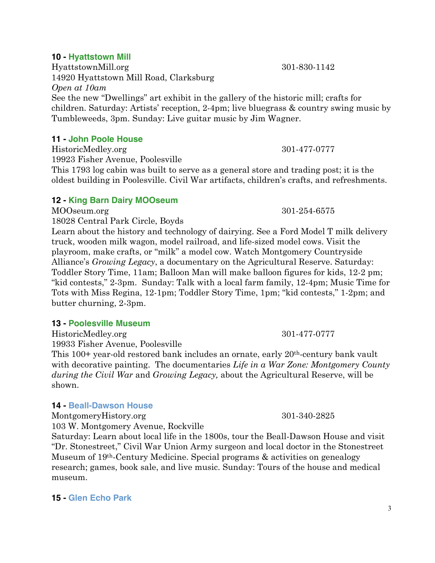#### **10 - Hyattstown Mill**

HyattstownMill.org 301-830-1142 14920 Hyattstown Mill Road, Clarksburg *Open at 10am* See the new "Dwellings" art exhibit in the gallery of the historic mill; crafts for children. Saturday: Artists' reception, 2-4pm; live bluegrass & country swing music by Tumbleweeds, 3pm. Sunday: Live guitar music by Jim Wagner.

#### **11 - John Poole House**

HistoricMedley.org 301-477-0777 19923 Fisher Avenue, Poolesville This 1793 log cabin was built to serve as a general store and trading post; it is the oldest building in Poolesville. Civil War artifacts, children's crafts, and refreshments.

## **12 - King Barn Dairy MOOseum**

MOOseum.org 301-254-6575

18028 Central Park Circle, Boyds Learn about the history and technology of dairying. See a Ford Model T milk delivery truck, wooden milk wagon, model railroad, and life-sized model cows. Visit the playroom, make crafts, or "milk" a model cow. Watch Montgomery Countryside Alliance's *Growing Legacy*, a documentary on the Agricultural Reserve. Saturday: Toddler Story Time, 11am; Balloon Man will make balloon figures for kids, 12-2 pm; "kid contests," 2-3pm. Sunday: Talk with a local farm family, 12-4pm; Music Time for Tots with Miss Regina, 12-1pm; Toddler Story Time, 1pm; "kid contests," 1-2pm; and butter churning, 2-3pm.

## **13 - Poolesville Museum**

HistoricMedley.org 301-477-0777

19933 Fisher Avenue, Poolesville

This 100+ year-old restored bank includes an ornate, early 20th-century bank vault with decorative painting. The documentaries *Life in a War Zone: Montgomery County during the Civil War* and *Growing Legacy,* about the Agricultural Reserve, will be shown.

## **14 - Beall-Dawson House**

MontgomeryHistory.org 301-340-2825

103 W. Montgomery Avenue, Rockville

Saturday: Learn about local life in the 1800s, tour the Beall-Dawson House and visit "Dr. Stonestreet," Civil War Union Army surgeon and local doctor in the Stonestreet Museum of 19th-Century Medicine. Special programs & activities on genealogy research; games, book sale, and live music. Sunday: Tours of the house and medical museum.

## **15 - Glen Echo Park**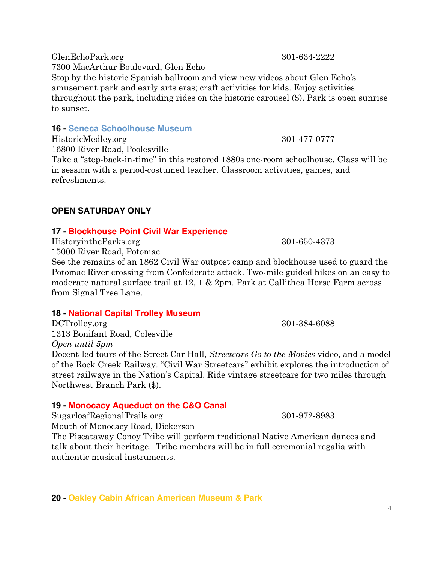GlenEchoPark.org 301-634-2222 7300 MacArthur Boulevard, Glen Echo Stop by the historic Spanish ballroom and view new videos about Glen Echo's amusement park and early arts eras; craft activities for kids. Enjoy activities throughout the park, including rides on the historic carousel (\$). Park is open sunrise to sunset.

#### **16 - Seneca Schoolhouse Museum**

HistoricMedley.org 301-477-0777

16800 River Road, Poolesville Take a "step-back-in-time" in this restored 1880s one-room schoolhouse. Class will be in session with a period-costumed teacher. Classroom activities, games, and refreshments.

## **OPEN SATURDAY ONLY**

## **17 - Blockhouse Point Civil War Experience**

HistoryintheParks.org 301-650-4373

15000 River Road, Potomac

See the remains of an 1862 Civil War outpost camp and blockhouse used to guard the Potomac River crossing from Confederate attack. Two-mile guided hikes on an easy to moderate natural surface trail at 12, 1 & 2pm. Park at Callithea Horse Farm across from Signal Tree Lane.

## **18 - National Capital Trolley Museum**

DCTrolley.org 301-384-6088 1313 Bonifant Road, Colesville *Open until 5pm* Docent-led tours of the Street Car Hall, *Streetcars Go to the Movies* video, and a model of the Rock Creek Railway. "Civil War Streetcars" exhibit explores the introduction of street railways in the Nation's Capital. Ride vintage streetcars for two miles through Northwest Branch Park (\$).

## **19 - Monocacy Aqueduct on the C&O Canal**

SugarloafRegionalTrails.org 301-972-8983

Mouth of Monocacy Road, Dickerson

The Piscataway Conoy Tribe will perform traditional Native American dances and talk about their heritage. Tribe members will be in full ceremonial regalia with authentic musical instruments.

**20 - Oakley Cabin African American Museum & Park**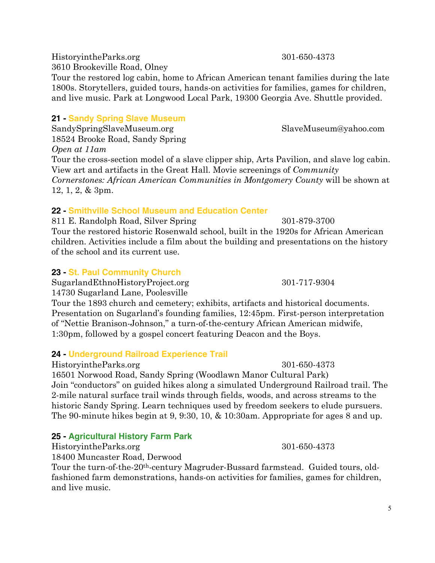HistoryintheParks.org 301-650-4373

3610 Brookeville Road, Olney

Tour the restored log cabin, home to African American tenant families during the late 1800s. Storytellers, guided tours, hands-on activities for families, games for children, and live music. Park at Longwood Local Park, 19300 Georgia Ave. Shuttle provided.

# **21 - Sandy Spring Slave Museum**

SandySpringSlaveMuseum.org SlaveMuseum@yahoo.com 18524 Brooke Road, Sandy Spring *Open at 11am*

Tour the cross-section model of a slave clipper ship, Arts Pavilion, and slave log cabin. View art and artifacts in the Great Hall. Movie screenings of *Community Cornerstones: African American Communities in Montgomery County* will be shown at 12, 1, 2, & 3pm.

# **22 - Smithville School Museum and Education Center**

811 E. Randolph Road, Silver Spring 301-879-3700 Tour the restored historic Rosenwald school, built in the 1920s for African American children. Activities include a film about the building and presentations on the history of the school and its current use.

# **23 - St. Paul Community Church**

SugarlandEthnoHistoryProject.org 301-717-9304 14730 Sugarland Lane, Poolesville

Tour the 1893 church and cemetery; exhibits, artifacts and historical documents. Presentation on Sugarland's founding families, 12:45pm. First-person interpretation of "Nettie Branison-Johnson," a turn-of-the-century African American midwife, 1:30pm, followed by a gospel concert featuring Deacon and the Boys.

# **24 - Underground Railroad Experience Trail**

HistoryintheParks.org 301-650-4373

16501 Norwood Road, Sandy Spring (Woodlawn Manor Cultural Park) Join "conductors" on guided hikes along a simulated Underground Railroad trail. The 2-mile natural surface trail winds through fields, woods, and across streams to the historic Sandy Spring. Learn techniques used by freedom seekers to elude pursuers. The 90-minute hikes begin at 9, 9:30, 10, & 10:30am. Appropriate for ages 8 and up.

# **25 - Agricultural History Farm Park**

HistoryintheParks.org 301-650-4373

18400 Muncaster Road, Derwood

Tour the turn-of-the-20th-century Magruder-Bussard farmstead. Guided tours, oldfashioned farm demonstrations, hands-on activities for families, games for children, and live music.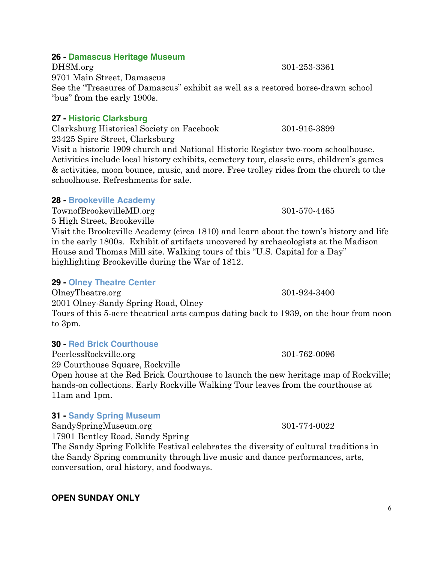## 6

## **26 - Damascus Heritage Museum**

DHSM.org 301-253-3361 9701 Main Street, Damascus See the "Treasures of Damascus" exhibit as well as a restored horse-drawn school "bus" from the early 1900s.

## **27 - Historic Clarksburg**

Clarksburg Historical Society on Facebook 301-916-3899 23425 Spire Street, Clarksburg

Visit a historic 1909 church and National Historic Register two-room schoolhouse. Activities include local history exhibits, cemetery tour, classic cars, children's games & activities, moon bounce, music, and more. Free trolley rides from the church to the schoolhouse. Refreshments for sale.

## **28 - Brookeville Academy**

TownofBrookevilleMD.org 301-570-4465 5 High Street, Brookeville

Visit the Brookeville Academy (circa 1810) and learn about the town's history and life in the early 1800s. Exhibit of artifacts uncovered by archaeologists at the Madison House and Thomas Mill site. Walking tours of this "U.S. Capital for a Day" highlighting Brookeville during the War of 1812.

## **29 - Olney Theatre Center**

OlneyTheatre.org 301-924-3400 2001 Olney-Sandy Spring Road, Olney Tours of this 5-acre theatrical arts campus dating back to 1939, on the hour from noon to 3pm.

## **30 - Red Brick Courthouse**

PeerlessRockville.org 301-762-0096 29 Courthouse Square, Rockville

Open house at the Red Brick Courthouse to launch the new heritage map of Rockville; hands-on collections. Early Rockville Walking Tour leaves from the courthouse at 11am and 1pm.

## **31 - Sandy Spring Museum**

SandySpringMuseum.org 301-774-0022

17901 Bentley Road, Sandy Spring

The Sandy Spring Folklife Festival celebrates the diversity of cultural traditions in the Sandy Spring community through live music and dance performances, arts, conversation, oral history, and foodways.

## **OPEN SUNDAY ONLY**